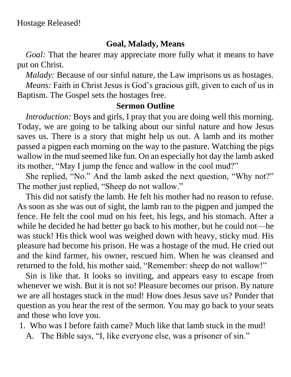## **Goal, Malady, Means**

*Goal:* That the hearer may appreciate more fully what it means to have put on Christ.

*Malady:* Because of our sinful nature, the Law imprisons us as hostages.

*Means:* Faith in Christ Jesus is God's gracious gift, given to each of us in Baptism. The Gospel sets the hostages free.

## **Sermon Outline**

*Introduction:* Boys and girls, I pray that you are doing well this morning. Today, we are going to be talking about our sinful nature and how Jesus saves us. There is a story that might help us out. A lamb and its mother passed a pigpen each morning on the way to the pasture. Watching the pigs wallow in the mud seemed like fun. On an especially hot day the lamb asked its mother, "May I jump the fence and wallow in the cool mud?"

She replied, "No." And the lamb asked the next question, "Why not?" The mother just replied, "Sheep do not wallow."

This did not satisfy the lamb. He felt his mother had no reason to refuse. As soon as she was out of sight, the lamb ran to the pigpen and jumped the fence. He felt the cool mud on his feet, his legs, and his stomach. After a while he decided he had better go back to his mother, but he could not—he was stuck! His thick wool was weighed down with heavy, sticky mud. His pleasure had become his prison. He was a hostage of the mud. He cried out and the kind farmer, his owner, rescued him. When he was cleansed and returned to the fold, his mother said, "Remember: sheep do not wallow!"

Sin is like that. It looks so inviting, and appears easy to escape from whenever we wish. But it is not so! Pleasure becomes our prison. By nature we are all hostages stuck in the mud! How does Jesus save us? Ponder that question as you hear the rest of the sermon. You may go back to your seats and those who love you.

1. Who was I before faith came? Much like that lamb stuck in the mud!

A. The Bible says, "I, like everyone else, was a prisoner of sin."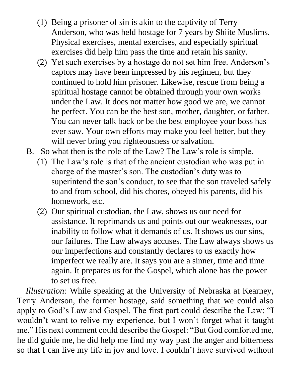- (1) Being a prisoner of sin is akin to the captivity of Terry Anderson, who was held hostage for 7 years by Shiite Muslims. Physical exercises, mental exercises, and especially spiritual exercises did help him pass the time and retain his sanity.
- (2) Yet such exercises by a hostage do not set him free. Anderson's captors may have been impressed by his regimen, but they continued to hold him prisoner. Likewise, rescue from being a spiritual hostage cannot be obtained through your own works under the Law. It does not matter how good we are, we cannot be perfect. You can be the best son, mother, daughter, or father. You can never talk back or be the best employee your boss has ever saw. Your own efforts may make you feel better, but they will never bring you righteousness or salvation.
- B. So what then is the role of the Law? The Law's role is simple.
	- (1) The Law's role is that of the ancient custodian who was put in charge of the master's son. The custodian's duty was to superintend the son's conduct, to see that the son traveled safely to and from school, did his chores, obeyed his parents, did his homework, etc.
	- (2) Our spiritual custodian, the Law, shows us our need for assistance. It reprimands us and points out our weaknesses, our inability to follow what it demands of us. It shows us our sins, our failures. The Law always accuses. The Law always shows us our imperfections and constantly declares to us exactly how imperfect we really are. It says you are a sinner, time and time again. It prepares us for the Gospel, which alone has the power to set us free.

*Illustration:* While speaking at the University of Nebraska at Kearney, Terry Anderson, the former hostage, said something that we could also apply to God's Law and Gospel. The first part could describe the Law: "I wouldn't want to relive my experience, but I won't forget what it taught me." His next comment could describe the Gospel: "But God comforted me, he did guide me, he did help me find my way past the anger and bitterness so that I can live my life in joy and love. I couldn't have survived without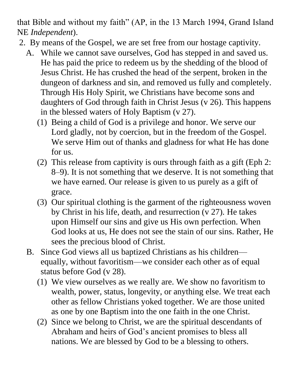that Bible and without my faith" (AP, in the 13 March 1994, Grand Island NE *Independent*).

- 2. By means of the Gospel, we are set free from our hostage captivity.
	- A. While we cannot save ourselves, God has stepped in and saved us. He has paid the price to redeem us by the shedding of the blood of Jesus Christ. He has crushed the head of the serpent, broken in the dungeon of darkness and sin, and removed us fully and completely. Through His Holy Spirit, we Christians have become sons and daughters of God through faith in Christ Jesus (v 26). This happens in the blessed waters of Holy Baptism (v 27).
		- (1) Being a child of God is a privilege and honor. We serve our Lord gladly, not by coercion, but in the freedom of the Gospel. We serve Him out of thanks and gladness for what He has done for us.
		- (2) This release from captivity is ours through faith as a gift (Eph 2: 8–9). It is not something that we deserve. It is not something that we have earned. Our release is given to us purely as a gift of grace.
		- (3) Our spiritual clothing is the garment of the righteousness woven by Christ in his life, death, and resurrection (v 27). He takes upon Himself our sins and give us His own perfection. When God looks at us, He does not see the stain of our sins. Rather, He sees the precious blood of Christ.
	- B. Since God views all us baptized Christians as his children equally, without favoritism—we consider each other as of equal status before God (v 28).
		- (1) We view ourselves as we really are. We show no favoritism to wealth, power, status, longevity, or anything else. We treat each other as fellow Christians yoked together. We are those united as one by one Baptism into the one faith in the one Christ.
		- (2) Since we belong to Christ, we are the spiritual descendants of Abraham and heirs of God's ancient promises to bless all nations. We are blessed by God to be a blessing to others.